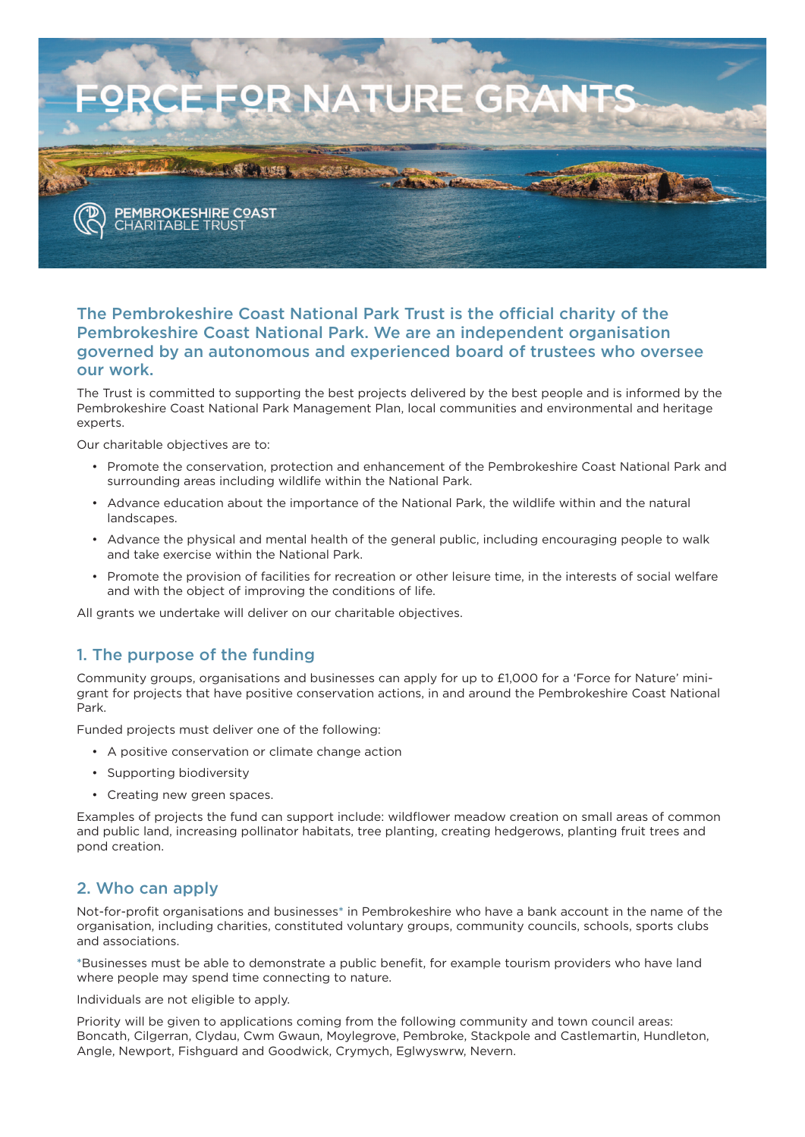

### **The Pembrokeshire Coast National Park Trust is the official charity of the Pembrokeshire Coast National Park. We are an independent organisation governed by an autonomous and experienced board of trustees who oversee our work.**

The Trust is committed to supporting the best projects delivered by the best people and is informed by the Pembrokeshire Coast National Park Management Plan, local communities and environmental and heritage experts.

Our charitable objectives are to:

- Promote the conservation, protection and enhancement of the Pembrokeshire Coast National Park and surrounding areas including wildlife within the National Park.
- Advance education about the importance of the National Park, the wildlife within and the natural landscapes.
- Advance the physical and mental health of the general public, including encouraging people to walk and take exercise within the National Park.
- Promote the provision of facilities for recreation or other leisure time, in the interests of social welfare and with the object of improving the conditions of life.

All grants we undertake will deliver on our charitable objectives.

### **1. The purpose of the funding**

Community groups, organisations and businesses can apply for up to £1,000 for a 'Force for Nature' minigrant for projects that have positive conservation actions, in and around the Pembrokeshire Coast National Park.

Funded projects must deliver one of the following:

- A positive conservation or climate change action
- Supporting biodiversity
- Creating new green spaces.

Examples of projects the fund can support include: wildflower meadow creation on small areas of common and public land, increasing pollinator habitats, tree planting, creating hedgerows, planting fruit trees and pond creation.

### **2. Who can apply**

Not-for-profit organisations and businesses**\*** in Pembrokeshire who have a bank account in the name of the organisation, including charities, constituted voluntary groups, community councils, schools, sports clubs and associations.

**\***Businesses must be able to demonstrate a public benefit, for example tourism providers who have land where people may spend time connecting to nature.

Individuals are not eligible to apply.

Priority will be given to applications coming from the following community and town council areas: Boncath, Cilgerran, Clydau, Cwm Gwaun, Moylegrove, Pembroke, Stackpole and Castlemartin, Hundleton, Angle, Newport, Fishguard and Goodwick, Crymych, Eglwyswrw, Nevern.